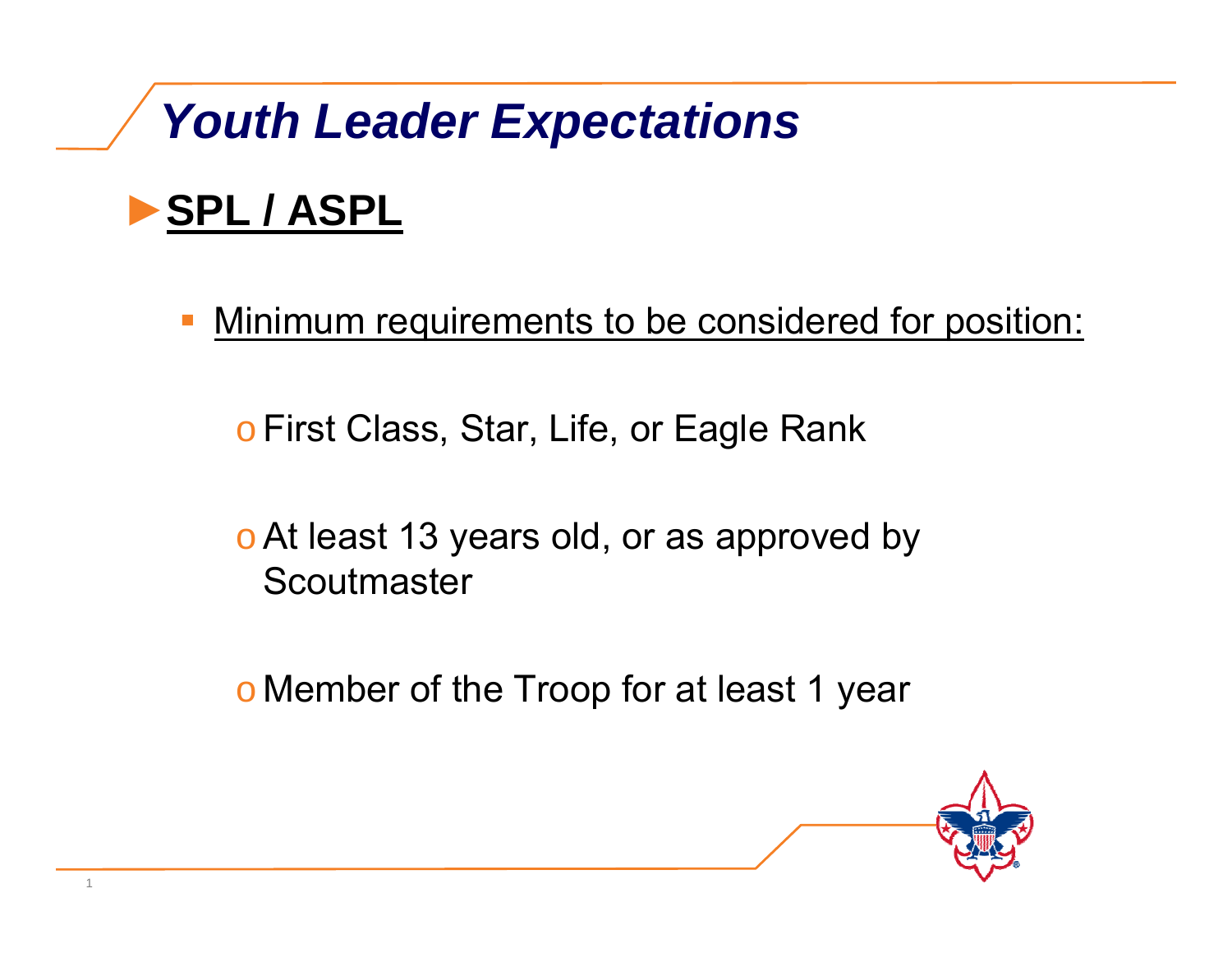### ►**SPL / ASPL**

 $\mathcal{L}(\mathcal{L})$  and  $\mathcal{L}(\mathcal{L})$  and  $\mathcal{L}(\mathcal{L})$ Minimum requirements to be considered for position:

<u>o</u> First Class, Star, Life, or Eagle Rank

 $\circ$  At least 13 years old, or as approved by **Scoutmaster** 

o Member of the Troop for at least 1 year

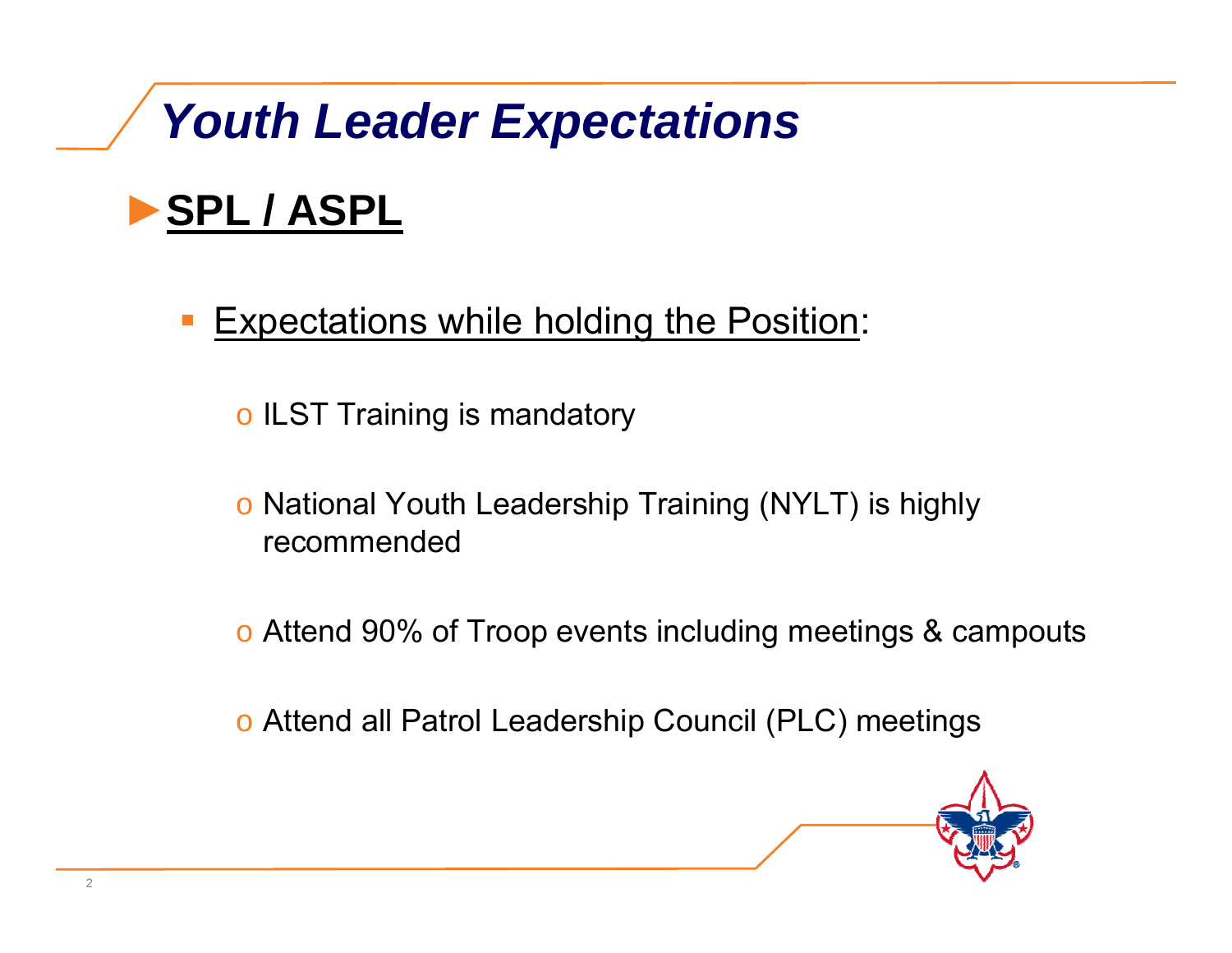### ►**SPL / ASPL**

- $\mathcal{L}(\mathcal{L})$  and  $\mathcal{L}(\mathcal{L})$  and  $\mathcal{L}(\mathcal{L})$  Expectations while holding the Position:
	- $\,\circ$  ILST Training is mandatory
	- o National Youth Leadership Training (NYLT) is highly recommended
	- o Attend 90% of Troop events including meetings & campouts
	- o Attend all Patrol Leadership Council (PLC) meetings

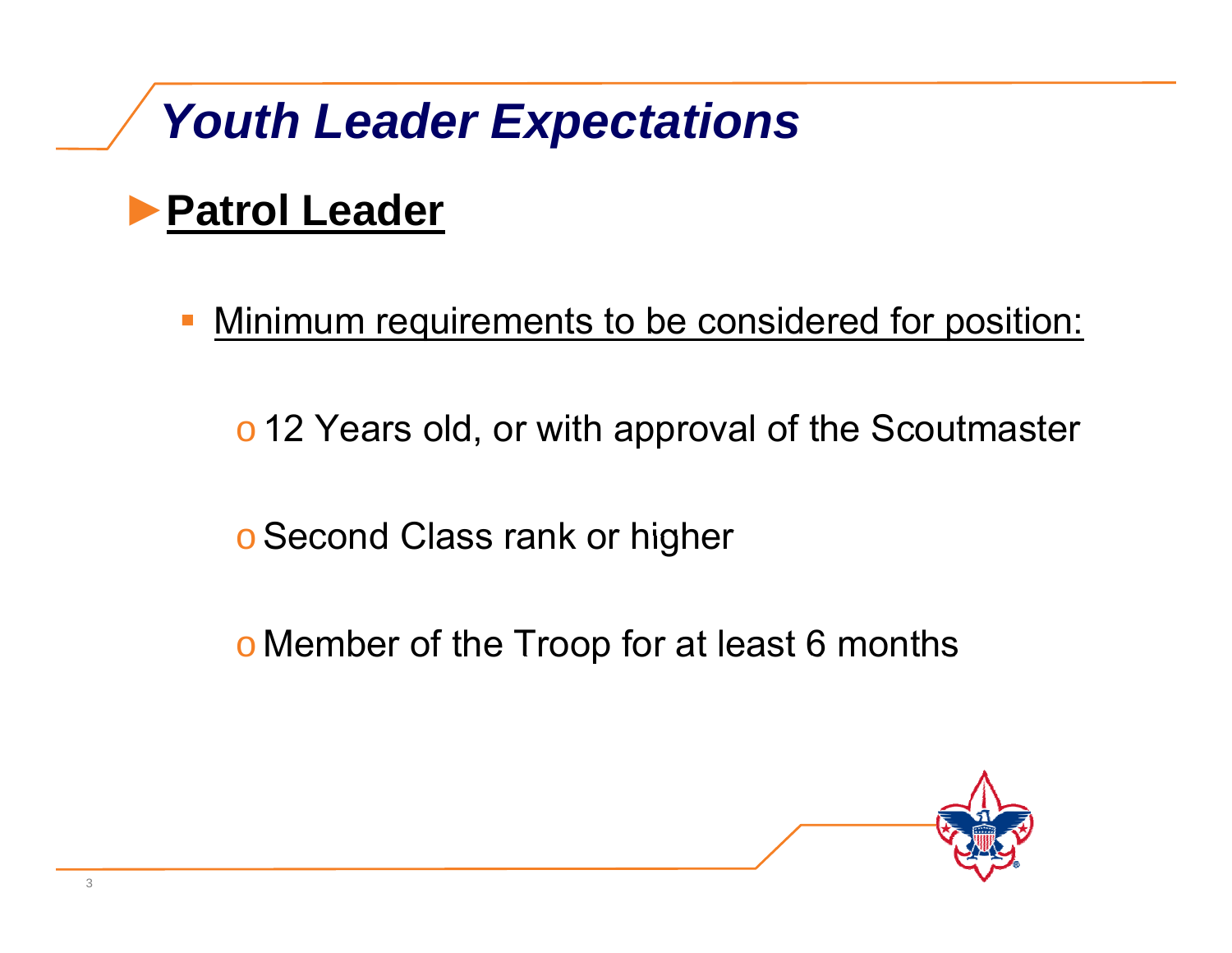### ►**Patrol Leader**

 $\mathcal{L}(\mathcal{L})$  and  $\mathcal{L}(\mathcal{L})$  and  $\mathcal{L}(\mathcal{L})$ Minimum requirements to be considered for position:

o 12 Years old, or with approval of the Scoutmaster

o Second Class rank or higher

o Member of the Troop for at least 6 months

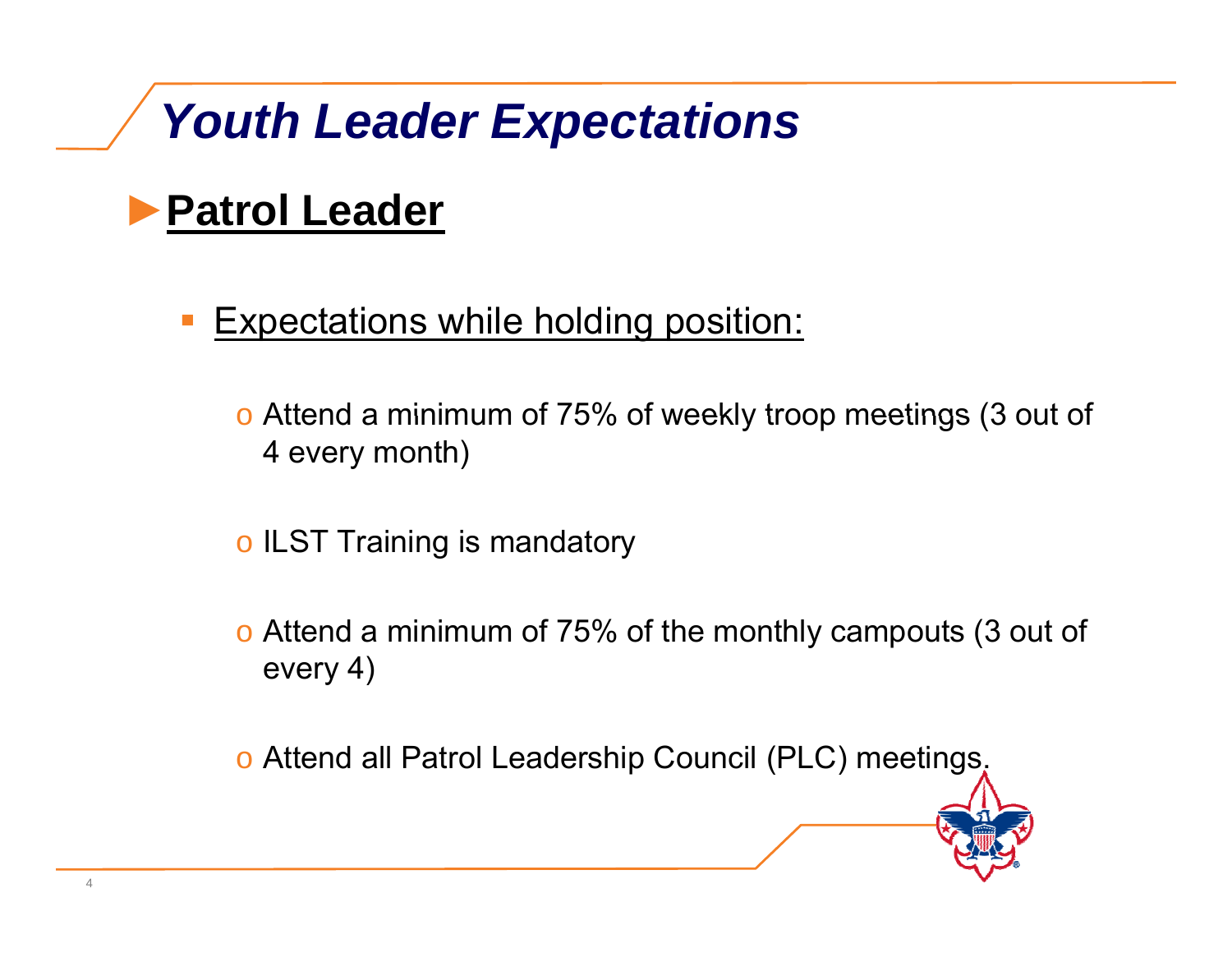### ►**Patrol Leader**

 $\mathcal{L}(\mathcal{L})$  and  $\mathcal{L}(\mathcal{L})$  and  $\mathcal{L}(\mathcal{L})$ Expectations while holding position:

 $\circ$  Attend a minimum of 75% of weekly troop meetings (3 out of 4 every month)

 $\circ$  ILST Training is mandatory

o Attend a minimum of 75% of the monthly campouts (3 out of every 4)

o Attend all Patrol Leadership Council (PLC) meetings.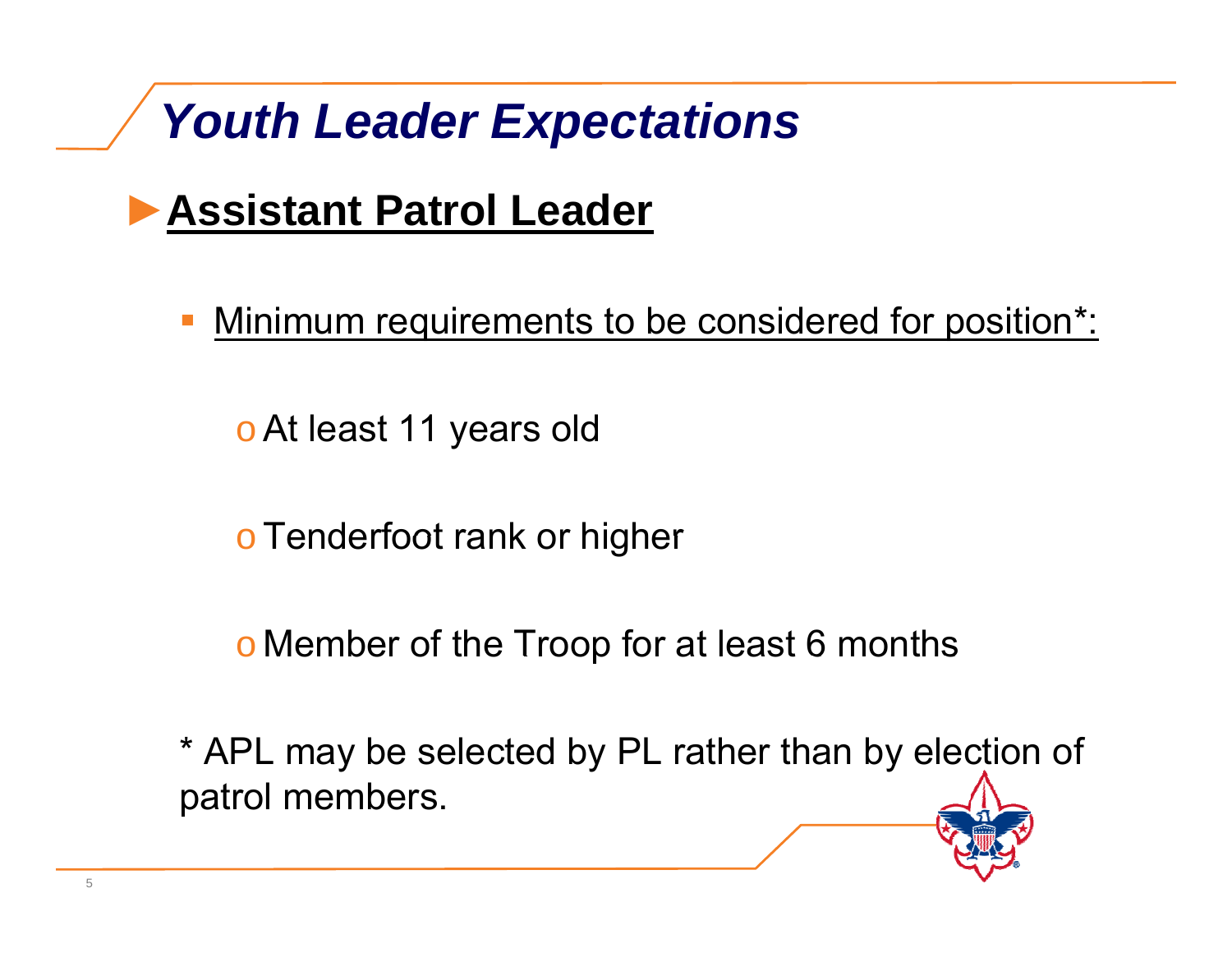### ►**Assistant Patrol Leader**

 $\mathcal{L}(\mathcal{L})$  and  $\mathcal{L}(\mathcal{L})$  and  $\mathcal{L}(\mathcal{L})$ Minimum requirements to be considered for position\*:

<u>o</u> At least 11 years old

<sup>o</sup>Tenderfoot rank or higher

o Member of the Troop for at least 6 months

\* APL may be selected by PL rather than by election of patrol members.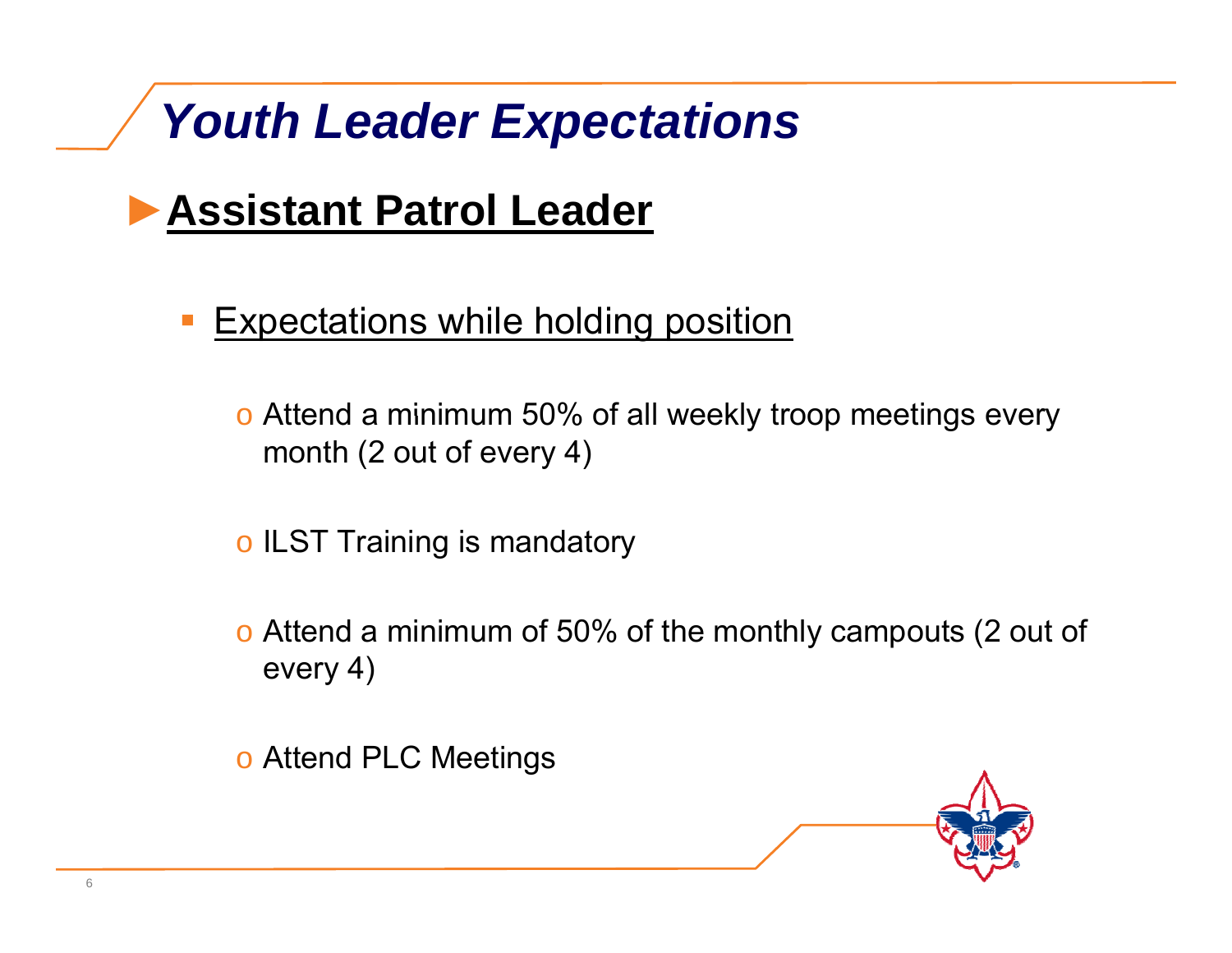### ►**Assistant Patrol Leader**

- $\mathcal{L}(\mathcal{L})$  and  $\mathcal{L}(\mathcal{L})$  and  $\mathcal{L}(\mathcal{L})$  Expectations while holding position
	- $\circ$  Attend a minimum 50% of all weekly troop meetings every month (2 out of every 4)
	- $\circ$  ILST Training is mandatory
	- o Attend a minimum of 50% of the monthly campouts (2 out of every 4)

o Attend PLC Meetings

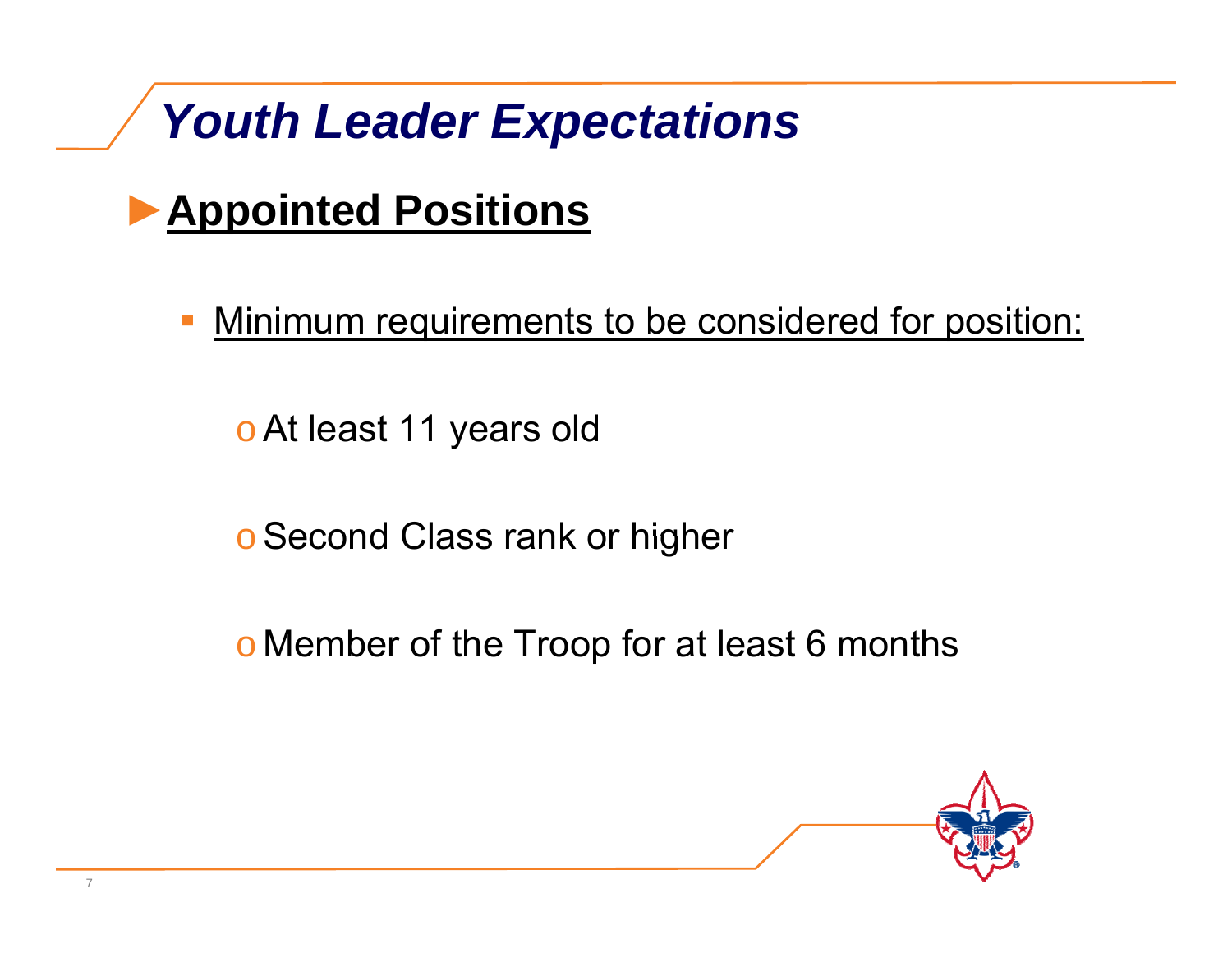### ►**Appointed Positions**

 $\mathcal{L}(\mathcal{L})$  and  $\mathcal{L}(\mathcal{L})$  and  $\mathcal{L}(\mathcal{L})$ Minimum requirements to be considered for position:

<u>o</u> At least 11 years old

o Second Class rank or higher

o Member of the Troop for at least 6 months